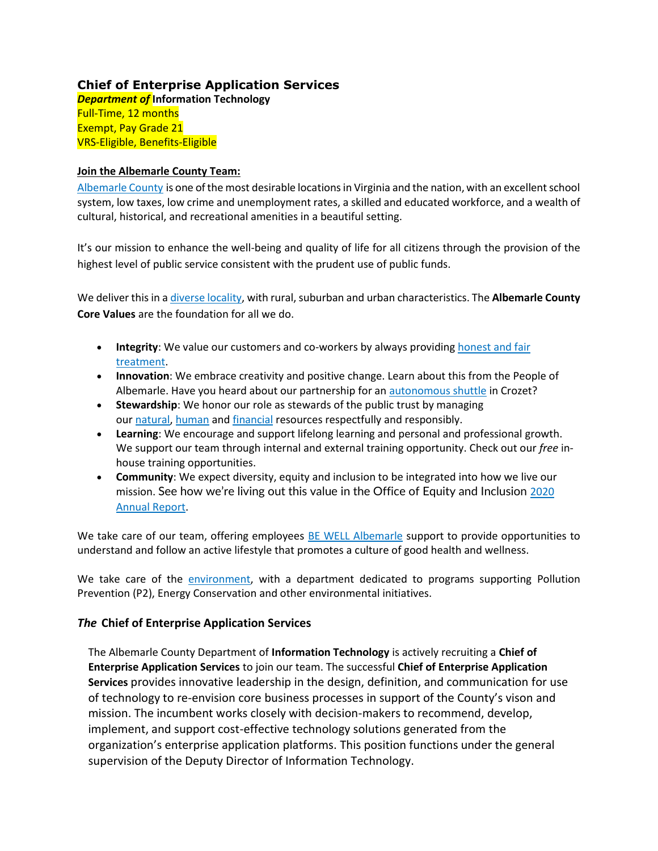# **Chief of Enterprise Application Services**

*Department of* **Information Technology**  Full-Time, 12 months Exempt, Pay Grade 21 VRS-Eligible, Benefits-Eligible

#### **Join the Albemarle County Team:**

[Albemarle County](https://www.visitcharlottesville.org/) is one of the most desirable locations in Virginia and the nation, with an excellent school system, low taxes, low crime and unemployment rates, a skilled and educated workforce, and a wealth of cultural, historical, and recreational amenities in a beautiful setting.

It's our mission to enhance the well-being and quality of life for all citizens through the provision of the highest level of public service consistent with the prudent use of public funds.

We deliver this in [a diverse locality,](https://www.enablealbemarle.org/about-albemarle/living-here) with rural, suburban and urban characteristics. The **Albemarle County Core Values** are the foundation for all we do.

- **Integrity**: We value our customers and co-workers by always providing [honest and fair](https://www.albemarle.org/home/showpublisheddocument?id=414)  [treatment.](https://www.albemarle.org/home/showpublisheddocument?id=414)
- **Innovation**: We embrace creativity and positive change. Learn about this from the People of Albemarle. Have you heard about our partnership for an [autonomous shuttle](https://www.albemarle.org/home/showpublisheddocument?id=666) in Crozet?
- **Stewardship**: We honor our role as stewards of the public trust by managing our [natural,](https://www.albemarle.org/government/facilities-environmental-services/environmental-stewardship) [human](https://www.albemarle.org/government/human-resources/working-at-albemarle) and [financial](https://www.albemarle.org/government/budget) resources respectfully and responsibly.
- **Learning**: We encourage and support lifelong learning and personal and professional growth. We support our team through internal and external training opportunity. Check out our *free* inhouse training opportunities.
- **Community**: We expect diversity, equity and inclusion to be integrated into how we live our mission. See how we're living out this value in the Office of Equity and Inclusion [2020](https://albemarle.legistar.com/View.ashx?M=F&ID=9054803&GUID=1E9D81DC-C420-4CAF-B8D1-91825ABFD287)  [Annual Report.](https://albemarle.legistar.com/View.ashx?M=F&ID=9054803&GUID=1E9D81DC-C420-4CAF-B8D1-91825ABFD287)

We take care of our team, offering employees [BE WELL Albemarle](http://bewell.albemarle.org/Pages/default.aspx) support to provide opportunities to understand and follow an active lifestyle that promotes a culture of good health and wellness.

We take care of the [environment,](https://www.albemarle.org/home/showpublisheddocument?id=5432) with a department dedicated to programs supporting Pollution Prevention (P2), Energy Conservation and other environmental initiatives.

## *The* **Chief of Enterprise Application Services**

The Albemarle County Department of **Information Technology** is actively recruiting a **Chief of Enterprise Application Services** to join our team. The successful **Chief of Enterprise Application Services** provides innovative leadership in the design, definition, and communication for use of technology to re-envision core business processes in support of the County's vison and mission. The incumbent works closely with decision-makers to recommend, develop, implement, and support cost-effective technology solutions generated from the organization's enterprise application platforms. This position functions under the general supervision of the Deputy Director of Information Technology.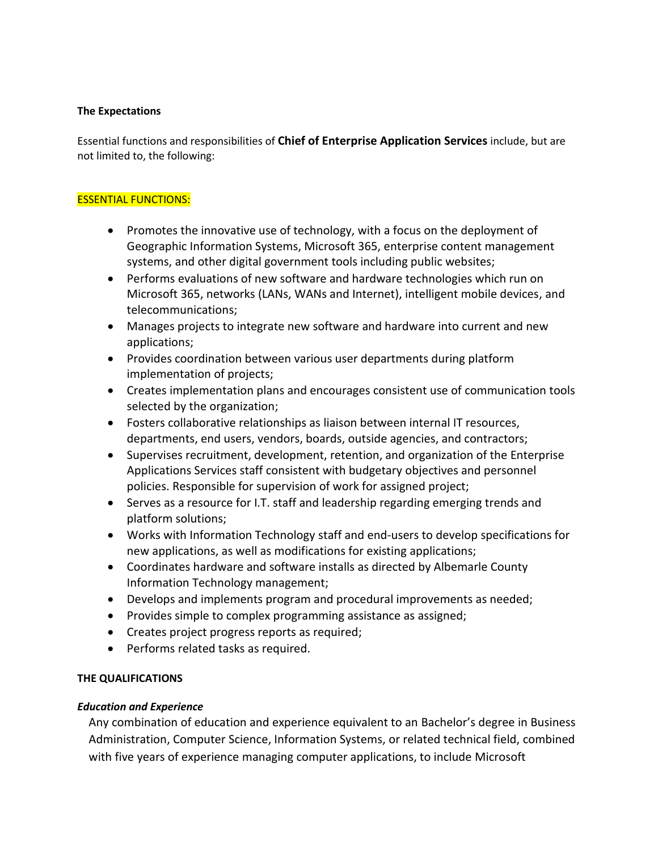#### **The Expectations**

Essential functions and responsibilities of **Chief of Enterprise Application Services** include, but are not limited to, the following:

#### ESSENTIAL FUNCTIONS:

- Promotes the innovative use of technology, with a focus on the deployment of Geographic Information Systems, Microsoft 365, enterprise content management systems, and other digital government tools including public websites;
- Performs evaluations of new software and hardware technologies which run on Microsoft 365, networks (LANs, WANs and Internet), intelligent mobile devices, and telecommunications;
- Manages projects to integrate new software and hardware into current and new applications;
- Provides coordination between various user departments during platform implementation of projects;
- Creates implementation plans and encourages consistent use of communication tools selected by the organization;
- Fosters collaborative relationships as liaison between internal IT resources, departments, end users, vendors, boards, outside agencies, and contractors;
- Supervises recruitment, development, retention, and organization of the Enterprise Applications Services staff consistent with budgetary objectives and personnel policies. Responsible for supervision of work for assigned project;
- Serves as a resource for I.T. staff and leadership regarding emerging trends and platform solutions;
- Works with Information Technology staff and end-users to develop specifications for new applications, as well as modifications for existing applications;
- Coordinates hardware and software installs as directed by Albemarle County Information Technology management;
- Develops and implements program and procedural improvements as needed;
- Provides simple to complex programming assistance as assigned;
- Creates project progress reports as required;
- Performs related tasks as required.

## **THE QUALIFICATIONS**

## *Education and Experience*

Any combination of education and experience equivalent to an Bachelor's degree in Business Administration, Computer Science, Information Systems, or related technical field, combined with five years of experience managing computer applications, to include Microsoft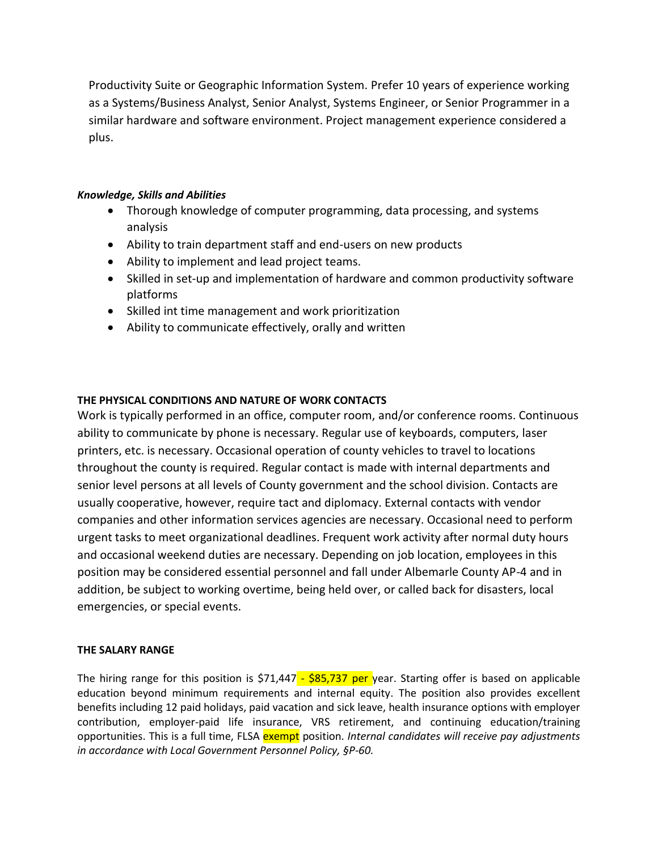Productivity Suite or Geographic Information System. Prefer 10 years of experience working as a Systems/Business Analyst, Senior Analyst, Systems Engineer, or Senior Programmer in a similar hardware and software environment. Project management experience considered a plus.

## *Knowledge, Skills and Abilities*

- Thorough knowledge of computer programming, data processing, and systems analysis
- Ability to train department staff and end-users on new products
- Ability to implement and lead project teams.
- Skilled in set-up and implementation of hardware and common productivity software platforms
- Skilled int time management and work prioritization
- Ability to communicate effectively, orally and written

## **THE PHYSICAL CONDITIONS AND NATURE OF WORK CONTACTS**

Work is typically performed in an office, computer room, and/or conference rooms. Continuous ability to communicate by phone is necessary. Regular use of keyboards, computers, laser printers, etc. is necessary. Occasional operation of county vehicles to travel to locations throughout the county is required. Regular contact is made with internal departments and senior level persons at all levels of County government and the school division. Contacts are usually cooperative, however, require tact and diplomacy. External contacts with vendor companies and other information services agencies are necessary. Occasional need to perform urgent tasks to meet organizational deadlines. Frequent work activity after normal duty hours and occasional weekend duties are necessary. Depending on job location, employees in this position may be considered essential personnel and fall under Albemarle County AP-4 and in addition, be subject to working overtime, being held over, or called back for disasters, local emergencies, or special events.

## **THE SALARY RANGE**

The hiring range for this position is  $$71,447 - $85,737$  per year. Starting offer is based on applicable education beyond minimum requirements and internal equity. The position also provides excellent benefits including 12 paid holidays, paid vacation and sick leave, health insurance options with employer contribution, employer-paid life insurance, VRS retirement, and continuing education/training opportunities. This is a full time, FLSA exempt position. *Internal candidates will receive pay adjustments in accordance with Local Government Personnel Policy, §P-60.*